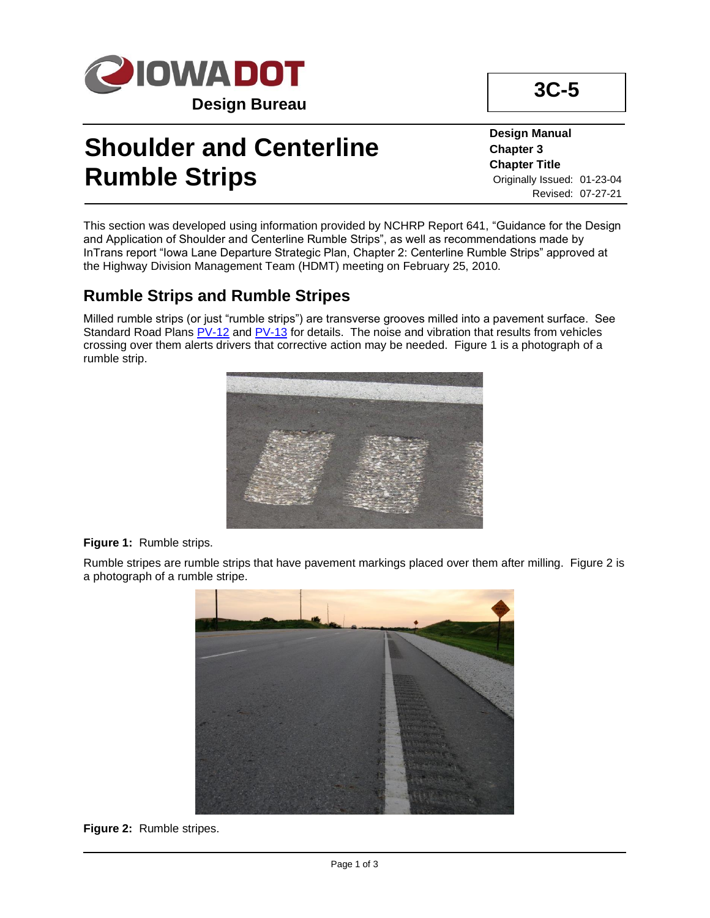

# **Shoulder and Centerline Rumble Strips**

**Design Manual Chapter 3 Chapter Title** Originally Issued: 01-23-04 Revised: 07-27-21

**3C-5**

This section was developed using information provided by NCHRP Report 641, "Guidance for the Design and Application of Shoulder and Centerline Rumble Strips", as well as recommendations made by InTrans report "Iowa Lane Departure Strategic Plan, Chapter 2: Centerline Rumble Strips" approved at the Highway Division Management Team (HDMT) meeting on February 25, 2010.

### **Rumble Strips and Rumble Stripes**

Milled rumble strips (or just "rumble strips") are transverse grooves milled into a pavement surface. See Standard Road Plans [PV-12](../SRP/IndividualStandards/pv012.pdf) and [PV-13](../SRP/IndividualStandards/pv013.pdf) for details. The noise and vibration that results from vehicles crossing over them alerts drivers that corrective action may be needed. Figure 1 is a photograph of a rumble strip.



#### **Figure 1:** Rumble strips.

Rumble stripes are rumble strips that have pavement markings placed over them after milling. Figure 2 is a photograph of a rumble stripe.



#### **Figure 2:** Rumble stripes.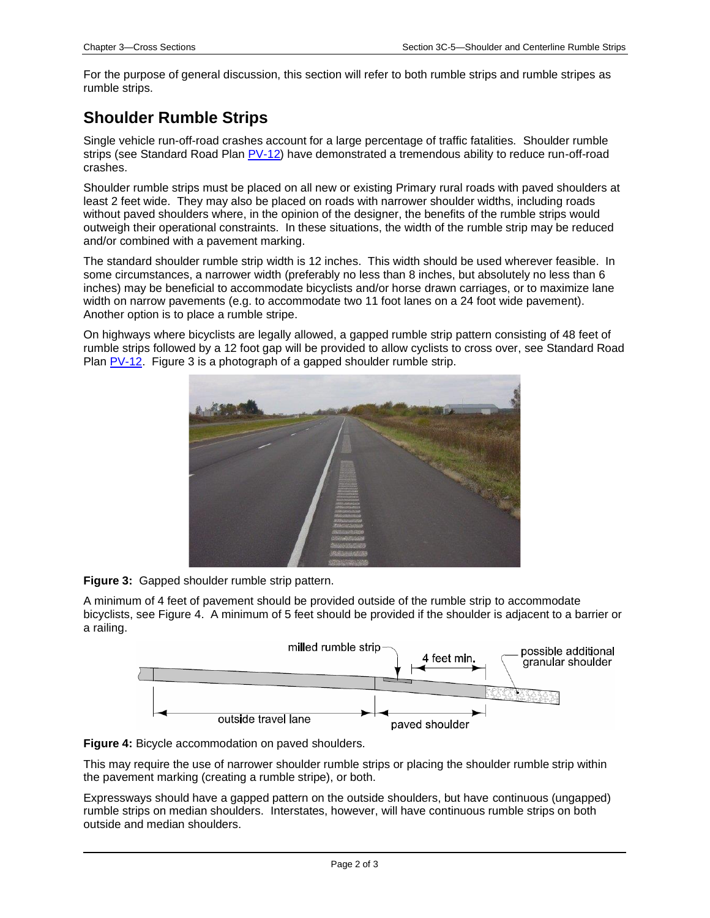For the purpose of general discussion, this section will refer to both rumble strips and rumble stripes as rumble strips.

### **Shoulder Rumble Strips**

Single vehicle run-off-road crashes account for a large percentage of traffic fatalities. Shoulder rumble strips (see Standard Road Plan [PV-12\)](../SRP/IndividualStandards/pv012.pdf) have demonstrated a tremendous ability to reduce run-off-road crashes.

Shoulder rumble strips must be placed on all new or existing Primary rural roads with paved shoulders at least 2 feet wide. They may also be placed on roads with narrower shoulder widths, including roads without paved shoulders where, in the opinion of the designer, the benefits of the rumble strips would outweigh their operational constraints. In these situations, the width of the rumble strip may be reduced and/or combined with a pavement marking.

The standard shoulder rumble strip width is 12 inches. This width should be used wherever feasible. In some circumstances, a narrower width (preferably no less than 8 inches, but absolutely no less than 6 inches) may be beneficial to accommodate bicyclists and/or horse drawn carriages, or to maximize lane width on narrow pavements (e.g. to accommodate two 11 foot lanes on a 24 foot wide pavement). Another option is to place a rumble stripe.

On highways where bicyclists are legally allowed, a gapped rumble strip pattern consisting of 48 feet of rumble strips followed by a 12 foot gap will be provided to allow cyclists to cross over, see Standard Road Plan [PV-12.](../SRP/IndividualStandards/pv012.pdf) Figure 3 is a photograph of a gapped shoulder rumble strip.



**Figure 3:** Gapped shoulder rumble strip pattern.

A minimum of 4 feet of pavement should be provided outside of the rumble strip to accommodate bicyclists, see Figure 4. A minimum of 5 feet should be provided if the shoulder is adjacent to a barrier or a railing.





This may require the use of narrower shoulder rumble strips or placing the shoulder rumble strip within the pavement marking (creating a rumble stripe), or both.

Expressways should have a gapped pattern on the outside shoulders, but have continuous (ungapped) rumble strips on median shoulders. Interstates, however, will have continuous rumble strips on both outside and median shoulders.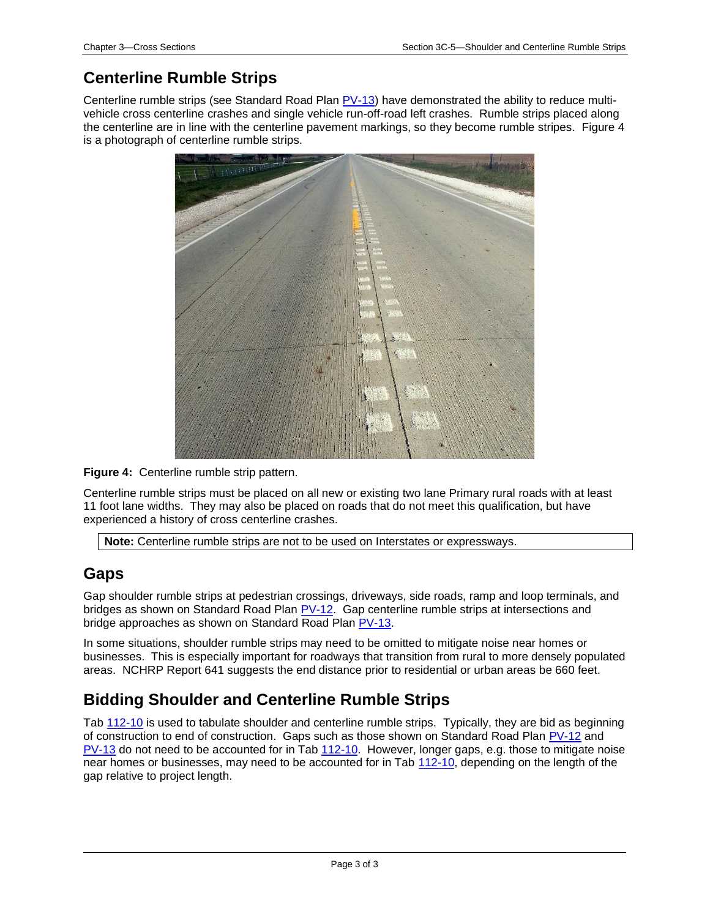## **Centerline Rumble Strips**

Centerline rumble strips (see Standard Road Plan [PV-13\)](../SRP/IndividualStandards/pv013.pdf) have demonstrated the ability to reduce multivehicle cross centerline crashes and single vehicle run-off-road left crashes. Rumble strips placed along the centerline are in line with the centerline pavement markings, so they become rumble stripes. Figure 4 is a photograph of centerline rumble strips.



**Figure 4:** Centerline rumble strip pattern.

Centerline rumble strips must be placed on all new or existing two lane Primary rural roads with at least 11 foot lane widths. They may also be placed on roads that do not meet this qualification, but have experienced a history of cross centerline crashes.

**Note:** Centerline rumble strips are not to be used on Interstates or expressways.

#### **Gaps**

Gap shoulder rumble strips at pedestrian crossings, driveways, side roads, ramp and loop terminals, and bridges as shown on Standard Road Plan [PV-12.](../SRP/IndividualStandards/pv012.pdf) Gap centerline rumble strips at intersections and bridge approaches as shown on Standard Road Plan [PV-13.](../SRP/IndividualStandards/pv013.pdf)

In some situations, shoulder rumble strips may need to be omitted to mitigate noise near homes or businesses. This is especially important for roadways that transition from rural to more densely populated areas. NCHRP Report 641 suggests the end distance prior to residential or urban areas be 660 feet.

### **Bidding Shoulder and Centerline Rumble Strips**

Tab [112-10](../tnt/PDFsandWebFiles/IndividualPDFs/0112-10.pdf) is used to tabulate shoulder and centerline rumble strips. Typically, they are bid as beginning of construction to end of construction. Gaps such as those shown on Standard Road Plan [PV-12](../SRP/IndividualStandards/pv012.pdf) and [PV-13](../SRP/IndividualStandards/pv013.pdf) do not need to be accounted for in Tab [112-10.](../tnt/PDFsandWebFiles/IndividualPDFs/0112-10.pdf) However, longer gaps, e.g. those to mitigate noise near homes or businesses, may need to be accounted for in Tab [112-10,](../tnt/PDFsandWebFiles/IndividualPDFs/0112-10.pdf) depending on the length of the gap relative to project length.